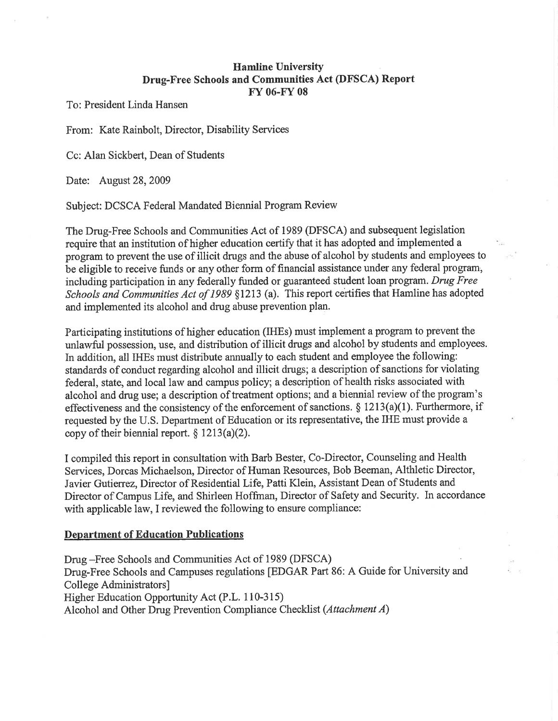# **Hamline University** Drug-Free Schools and Communities Act (DFSCA) Report Fr 06-FY <sup>08</sup>

To: President Linda Hansen

From: Kate Rainbolt, Director, Disability Services

Cc: Alan Sickbert, Dean of Students

Date: August 28,2009

Subject: DCSCA Federal Mandated Biennial Program Review

The Drug-Free Schools and Communities Act of 1989 (DFSCA) and subsequent legislation require that an institution of higher education certify that it has adopted and implemented a program to prevent the use of illicit drugs and the abuse of alcohol by students and employees to be eligible to receive funds or any other form of financial assistance under any federal program, including participation in any federally funded or guaranteed student loan program. Drug Free Schools and Communities Act of 1989 §1213 (a). This report certifies that Hamline has adopted and implemented its alcohol and drug abuse prevention plan.

Participating institutions of higher education (IHEs) must implement a program to prevent the unlawful possession, use, and distribution of illicit drugs and alcohol by students and employees. In addition, all IHEs must distribute annually to each student and employee the following: standards of conduct regarding alcohol and illicit drugs; a description of sanctions for violating federal, state, and local law and campus policy; a description of health risks associated with alcohol and drug use; a description of treatment options; and a biennial review of the program's effectiveness and the consistency of the enforcement of sanctions. \$ 1213(a)(l). Furthermore, if requested by the U.S. Department of Education or its representative, the IHE must provide a copy of their biennial report.  $§ 1213(a)(2)$ .

I compiled this report in consultation with Barb Bester, Co-Director, Counseling and Health Services, Dorcas Michaelson, Director of Human Resources, Bob Beeman, Althletic Director, Javier Gutierrez, Director of Residential Life, Patti Klein, Assistant Dean of Students and Director of Campus Life, and Shirleen Hoffrnan, Director of Safety and Security. In accordance with applicable law, I reviewed the following to ensure compliance:

### Department of Education Publications

Drug -Free Schools and Communities Act of 1989 (DFSCA) Drug-Free Schools and Campuses regulations [EDGAR Part 86: A Guide for University and College Administrators] Higher Education Opportunity Act (P.L. I 10-315) Alcohol and Other Drug Prevention Compliance Checklist (Attachment A)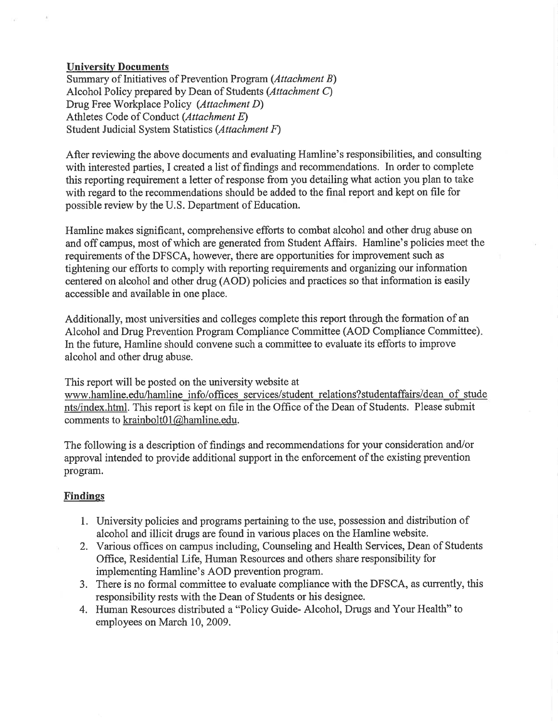# Universitv Documents

Summary of Initiatives of Prevention Program (Attachment B) Alcohol Policy prepared by Dean of Students (Attachment C) Drug Free Workplace Policy (Attachment D) Athletes Code of Conduct (Attachment E) Student Judicial System Statistics (Attachment F)

After reviewing the above documents and evaluating Hamline's responsibilities, and consulting with interested parties, I created a list of findings and recommendations. In order to complete this reporting requirement a letter of response from you detailing what action you plan to take with regard to the recommendations should be added to the final report and kept on file for possible review by the U.S. Department of Education.

Hamline makes significant, comprehensive efforts to combat alcohol and other drug abuse on and off campus, most of which are generated from Student Affairs. Hamline's policies meet the requirements of the DFSCA, however, there are opportunities for improvement such as tightening our efforts to comply with reporting requirements and organizing our information centered on alcohol and other drug (AOD) policies and practices so that information is easily accessible and available in one place.

Additionally, most universities and colleges complete this report through the formation of an Alcohol and Drug Prevention Program Compliance Committee (AOD Compliance Committee) In the future, Hamline should convene such a committee to evaluate its efforts to improve alcohol and other drug abuse.

This report will be posted on the university website at www.hamline.edu/hamline info/offices services/student relations?studentaffairs/dean of stude nts/index.html. This report is kept on file in the Office of the Dean of Students. Please submit comments to krainbolt01@hamline.edu.

The following is a description of findings and recommendations for your consideration and/or approval intended to provide additional support in the enforcement of the existing prevention program.

# **Findings**

- 1. University policies and programs pertaining to the use, possession and distribution of alcohol and illicit drugs are found in various places on the Hamline website.
- 2. Various offices on campus including, Counseling and Health Services, Dean of Students OfÍice, Residential Life, Human Resources and others share responsibility for implementing Hamline's AOD prevention program.
- 3. There is no formal committee to evaluate compliance with the DFSCA, as currently, this responsibility rests with the Dean of Students or his designee.
- 4. Human Resources distributed a "Policy Guide- Alcohol, Drugs and Your Health" to employees on March 10, 2009.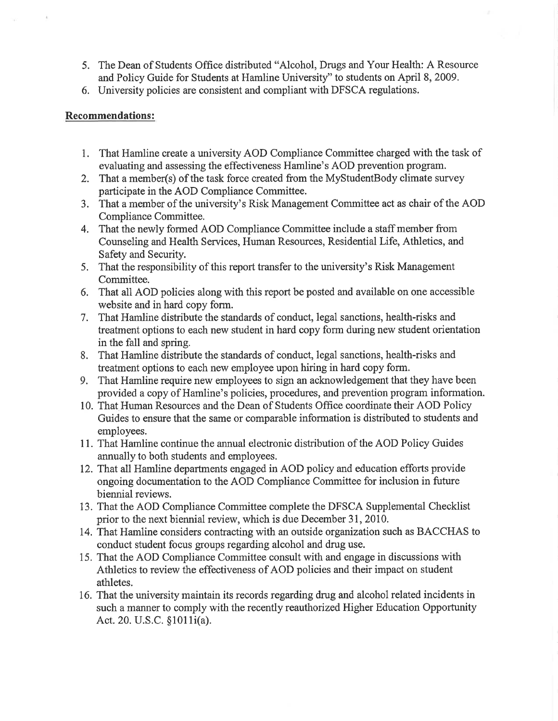- 5. The Dean of Students Office distributed "Alcohol, Drugs and Your Health: A Resource and Policy Guide for Students at Hamline University''to students on April 8, 2009.
- 6. University policies are consistent and compliant with DFSCA regulations.

# Recommendations:

- 1. That Hamline create a university AOD Compliance Committee charged with the task of evaluating and assessing the effectiveness Hamline's AOD prevention program.
- 2. That a member(s) of the task force created from the MyStudentBody climate survey participate in the AOD Compliance Committee.
- 3. That a member of the university's Risk Management Committee act as chair of the AOD Compliance Committee.
- 4. That the newly formed AOD Compliance Committee include a staff member from Counseling and Health Services, Human Resources, Residential Life, Athletics, and Safety and Security.
- 5. That the responsibility of this report transfer to the university's Risk Management Committee.
- 6. That all AOD policies along with this report be posted and available on one accessible website and in hard copy form.
- 7. That Hamline distribute the standards of conduct, legal sanctions, health-risks and treatment options to each new student in hard copy form during new student orientation in the fall and spring.
- 8. That Hamline distribute the standards of conduct, legal sanctions, health-risks and treatment options to each new employee upon hiring in hard copy form.
- 9. That Hamline require new employees to sign an acknowledgement that they have been provided a copy of Hamline's policies, procedures, and prevention program information.
- 10. That Human Resources and the Dean of Students Office coordinate their AOD Policy Guides to ensure that the same or comparable information is distributed to students and employees.
- 11. That Hamline continue the annual electronic distribution of the AOD Policy Guides annually to both students and employees.
- 12. That all Hamline departments engaged in AOD policy and education efforts provide ongoing documentation to the AOD Compliance Committee for inclusion in future biennial reviews.
- 13. That the AOD Compliance Committee complete the DFSCA Supplemental Checklist prior to the next biennial review, which is due December 31,2010.
- 14. That Hamline considers contracting with an outside organization such as BACCHAS to conduct student focus groups regarding alcohol and drug use.
- 15. That the AOD Compliance Committee consult with and engage in discussions with Athletics to review the effectiveness of AOD policies and their impact on student athletes.
- 16. That the university maintain its records regarding drug and alcohol related incidents in such a manner to comply with the recently reauthorized Higher Education Opportunity Act. 20. U.S.C. §1011 i(a).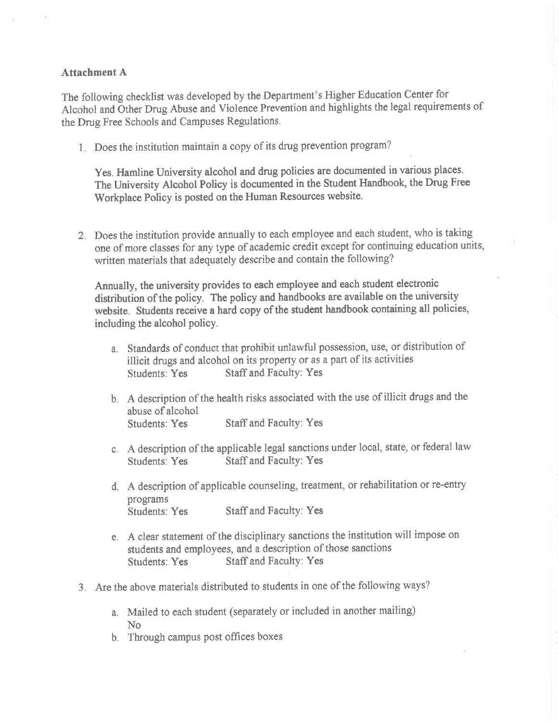## Attachment A

The following checklist was developed by the Department's Higher Education Center for Alcohol and Other Drug Abuse and Violence Prevention and highlights the legal requirements of the Drug Free Schools and Campuses Regulations.

l. Does the institution maintain a copy of its drug prevention program?

Yes. Hamline University alcohol and drug policies are documented in various places. The University Alcohol Policy is documented in the Student Handbook, the Drug Free Workplace Policy is posted on the Human Resources website.

2. Does the institution provide annually to each employee and each student, who is taking one of more classes for any type of academic credit except for continuing education units, written materials that adequately describe and contain the following?

Annually, the university provides to each employee and each student electronic distribution of the policy. The policy and handbooks are available on the university website. Students receive a hard copy of the student handbook containing all policies, including the alcohol policy.

- a. Standards of conduct that prohibit unlawful possession, use, or distribution of illicit drugs and alcohol on its property or as a part of its activities Students: Yes Staff and Faculty: Yes
- b. A description of the health risks associated with the use of illicit drugs and the abuse of alcohol Students: Yes Staff and Faculty: Yes
- c. A description of the applicable legal sanctions under local, state, or federal law Staff and Faculty: Yes
- d. A description of applicable counseling, treatment, or rehabilitation or re-entry programs Students: Yes Staff and Faculty: Yes
- e. A clear statement of the disciplinary sanctions the institution will impose on students and employees, and a description of those sanctions Students: Yes Staff and Faculty: Yes
- 3. Are the above materials distributed to students in one of the following ways?
	- a. Mailed to each student (separately or included in another mailing) No
	- b. Through campus post offices boxes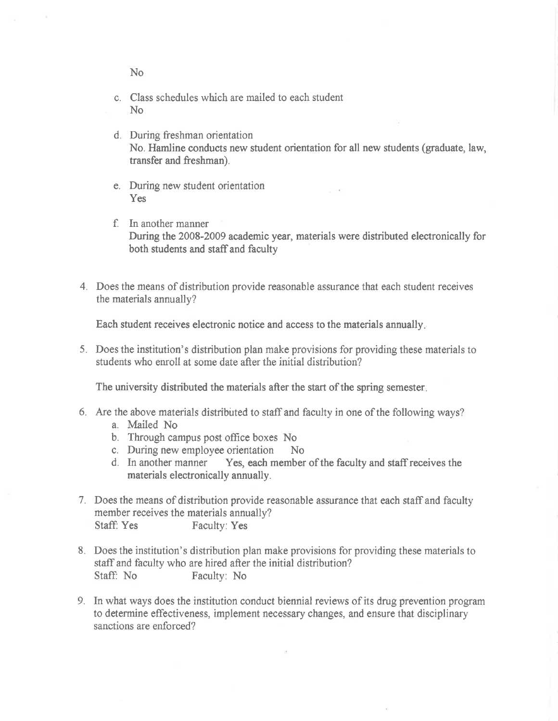No

- c. Class schedules which are mailed to each student No
- d. During freshman orientation No. Hamline conducts new student orientation for all new students (graduate, law, transfer and freshman).
- e. During new student orientation Yes
- f. In another manner During the 2008-2009 academic year, materials were distributed electronically for both students and staff and faculty
- 4. Does the means of distribution provide reasonable assurance thal each student receives the materials annually?

Each student receives electronic notice and access to the materials annually.

5. Does the institution's distribution plan make provisions for providing these materials to students who enroll at some date after the initial distríbution?

The university distributed the materials after the start of the spring semester.

- 6. Are the above materials distributed to staffand faculty in one of the following ways?
	- a. Mailed No
	- b. Through campus post office boxes No
	- c. During new employee orientation No<br>d. In another manner Yes, each member
	- Yes, each member of the faculty and staff receives the materials electronically annually.
- 7. Does the means of distribution provide reasonable assurance that each staffand faculty member receives the materials annually? Staff: Yes Faculty: Yes
- 8. Does the institution's distribution plan make provisions for providing these materials to staff and faculty who are hired after the initial distribution? Staff: No Faculty: No
- 9. In what ways does the institution conduct biennial reviews of its drug prevention program to determine effectiveness, implement necessary changes, and ensure that disciplinary sanctions are enforced?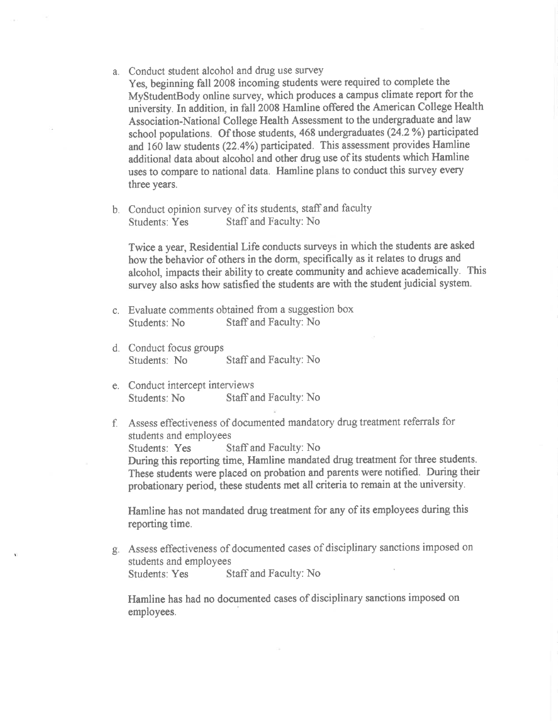- a. Conduct student alcohol and drug use survey Yes, beginning fall 2008 incoming students were required to complete the MyStudentBody online survey, which produces a campus climate report for the university. In addition, in fall 2008 Hamline offered the American College Health Association-National College Health Assessment to the undergraduate and law school populations. Of those students, 468 undergraduates (24.2%) participated and 160 law students  $(22.4%)$  participated. This assessment provides Hamline additional data about alcohol and other drug use of its students which Hamline uses to compare to national data. Hamline plans to conduct this survey every three years.
- b. Conduct opinion survey of its students, staff and faculty<br>Students: Yes Staff and Faculty: No Staff and Faculty: No

Twice a year, Residential Life conducts surveys in which the students are asked how the behavior of others in the dorm, specifically as it relates to drugs and alcohol, impacts their ability to create community and achieve academically. This survey also asks how satisfied the students are with the student judicial system.

- c. Evaluate comments obtained from a suggestion box Staff and Faculty: No
- d. Conduct focus groups Staff and Faculty: No
- e. Conduct intercept interviews<br>Students: No Staff a Staff and Faculty: No
- f. Assess effectiveness of documented mandatory drug treatment referrals for students and employees Students: Yes Staff and Faculty: No During this reporting time, Hamline mandated drug treatment for three students.

These students were placed on probation and parents were notified. During their probationary period, these students met all criteria to remain at the university.

Hamline has not mandated drug treatment for any of its employees during this reporting time.

g. Assess effectiveness of documented cases of disciplinary sanctions imposed on students and employees Students: Yes Staff and Faculty: No

Hamline has had no documented cases of disciplinary sanctions imposed on employees.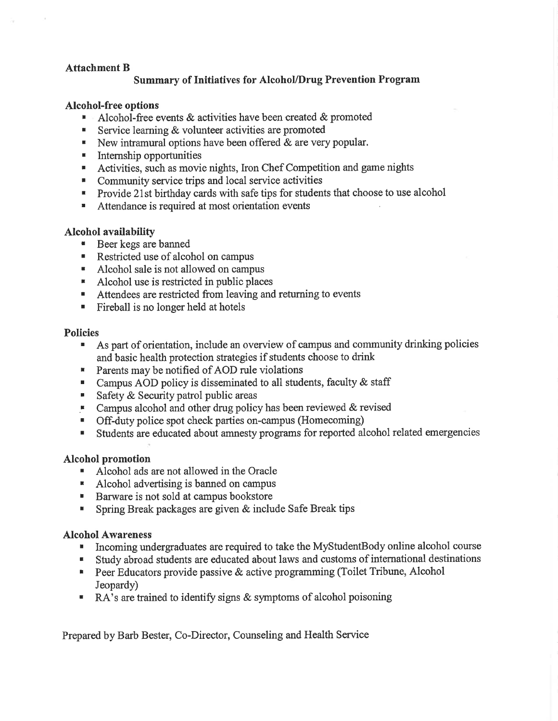# Attachment B

# Summary of Initiatives for Alcohol/Drug Prevention Program

### Alcohol-free options

- Alcohol-free events & activities have been created & promoted<br>Service learning & volunteer activities are promoted
- Service learning & volunteer activities are promoted
- E New intramural options have been offered  $&$  are very popular.
- **E** Internship opportunities
- Activities, such as movie nights, Iron Chef Competition and game nights Community service trips and local service activities
- 
- **Provide 21st birthday cards with safe tips for students that choose to use alcohol**
- **EXECUTE:** Attendance is required at most orientation events

## Alcohol availability

- . Beerkegs arebanned
- Restricted use of alcohol on campus
- . Alcohol sale is not allowed on campus
- **EXECUTE:** Alcohol use is restricted in public places
- . Attendees are restricted from leaving and returning to events
- . Fireball is no longer held at hotels

### Policies

- . As part of orientation, include an overview of campus and community drinking policies and basic health protection strategies if students choose to drink
- r Parents may be notified of AOD rule violations
- **Campus AOD policy is disseminated to all students, faculty & staff**
- ' Safety & Security patrol public areas
- $\blacksquare$  Campus alcohol and other drug policy has been reviewed & revised
- . Off-duty police spot check parties on-campus (Homecoming)
- . Students are educated about amnesty programs for reported alcohol related emergencies

# Alcohol promotion

- . Alcohol ads are not allowed in the Oracle
- ' Alcohol advertising is banned on campus
- Barware is not sold at campus bookstore
- **EXECUTE:** Spring Break packages are given & include Safe Break tips

# Alcohol Awareness

- . Incoming undergraduates are required to take the MyStudentBody online alcohol course
- ' Study abroad students are educated about laws and customs of international destinations
- **Peer Educators provide passive & active programming (Toilet Tribune, Alcohol** Jeopardy)
- ' RA's are trained to identifu signs & symptoms of alcohol poisoning

Prepared by Barb Bester, Co-Director, Counseling and Health Service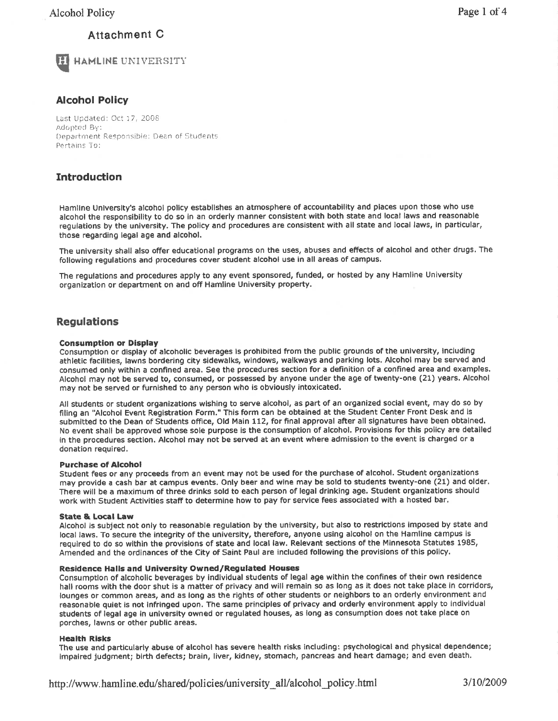# Attachment C



HAMLINË UNIVERSITY

# Alcohol Policy

Last Updated: Oct 17, 2008 Adopted By: Department Responsible: Dean of Students Pertains To:

# Introduction

Hamline University's alcohol policy establishes an atmosphere of accountability and places upon those who use alcohol the responsibility to do so in an orderly manner consistent with both state and local laws and reasonable regulations by the university. The policy and procedures are consistent with all state and local laws, in particular, those regarding legal age and alcohol.

The university shall also offer educational programs on the uses, abuses and effects of alcohol and other drugs, The following regulations and procedures cover student alcohol use in all areas of campus.

The regulations and procedures apply to any event sponsored, funded, or hosted by any Hamline University organization or department on and off Hamline University property.

# Regulations

### Consumption or Display

Consumption or display of alcoholic beverages is prohibited from the public grounds of the university, including athletic facilities, lawns bordering city sidewalks, windows, walkways and parking lots. Alcohol may be served and consumed only within a confined area. See the procedures section for a definition of a confined area and examples. Alcohol may not be served to, consumed, or possessed by anyone under the age of twenty-one (21) years. Alcohol may not be served or furnished to any person who is obviously intoxicated.

All students or student organizations wishing to serve alcohol, as part of an organized social event, may do so by filing an "Alcohol Event Registration Form." This form can be obtained at the Student Center Front Desk and is submitted to the Dean of Students office, Old Main 112, for final approval after all signatures have been obtained. No event shall be approved whose sole purpose is the consumption of alcohol. Provisions for this policy are detailed in the procedures section. Alcohol may not be served at an event where admission to the event is charged or <sup>a</sup> donation required,

### Purchase of Alcohol

Student fees or any proceeds from an event may not be used for the purchase of alcohol. Student organizations may provide a cash bar at campus events. Only beer and wlne may be sold to students twenty-one (21) and older, There will be a maximum of three drinks sold to each person of legal drinking age, Student organizations should work with Student Activities staff to determine how to pay for service fees associated with a hosted bar.

### State & Local Law

Alcohol is subject not only to reasonable regulation by the university, but also to restrictions imposed by state and local laws. To secure the integrity of the university, therefore, anyone using alcohol on the Hamline campus is required to do so within the provisions of state and local law. Relevant sections of the Minnesota Statutes 1985, Amended and the ordinances of the City of Saint Paul are included following the provisions of this policy.

### Residence Halls and University Owned/Regulated Houses

Consumption of alcoholic beverages by individual students of legal age within the confines of their own residence hall rooms with the door shut is a matter of privacy and will remain so as long as it does not take place in corridors, lounges or common areas, and as long as the rights of other students or neighbors to an orderly environment and reasonable quiet is not infringed upon. The same principles of privacy and orderly environment apply to individual students of legal age in university owned or regulated houses, as long as consumption does not take place on porches, lawns or other public areas,

### Health R¡sks

The use and particularly abuse of alcohol has severe health risks including: psychological and physlcal dependence; impaired judgment; birth defects; brain, liver, kidney, stomach, pancreas and heart damage; and even death.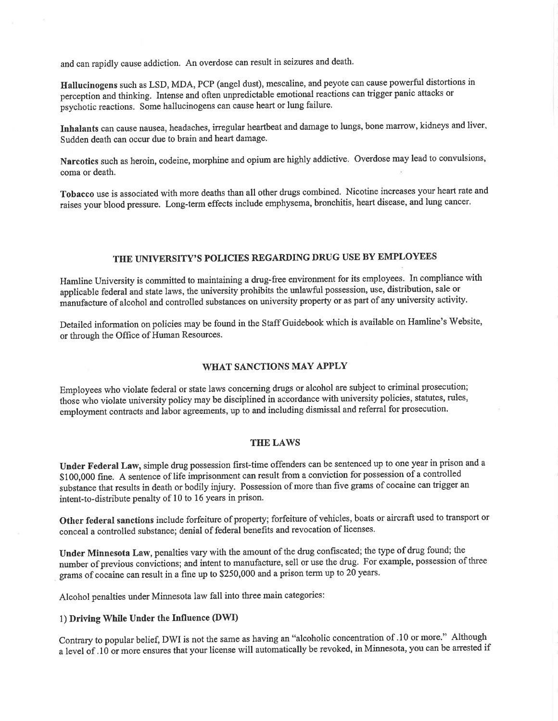and can rapidly cause addiction, An overdose can result in seizures and death.

Hallucinogens such as LSD, MDA, PCP (angel dust), mescaline, and peyote can cause powerful distortions in perception and thinking. Intense and often unpredictable emotional reactions can trigger panic attacks or psychotic reactions. Some hallucinogens can cause heart or lung failure,

Inhalants can cause nausea, headaches, irregular heartbeat and damage to lungs, bone marrow, kidneys and liver, Sudden death can occur due to brain and heart damage.

Narcotics such as heroin, codeine, morphine and opium are highly addictive, Overdose may lead to convulsions, coma or death.

Tobacco use is associated with more deaths than all other drugs combined. Nicotine increases your heart rate and raises your blood pressure. Long-term effects include emphysema, bronchitis, heart disease, and lung cancer.

# THE UNIVERSITY'S POLICIES REGARDING DRUG USE BY EMPLOYEES

Hamline University is committed to maintaining a drug-free environment for its employees. In compliance with applicable federal ãnd state laws, the university prohibits the unlawful possession, use, distribution, sale or manufacture of alcohol and controlled substances on university property or as part of any university activity.

Detailed information on policies may be found in the Staff Guidebook which is available on Hamline's Website, or through the Office of Human Resources.

### WHAT SANCTIONS MAY APPLY

Employees who violate federal or state laws concerning drugs or alcohol are subject to criminal prosecution; those who violate university policy may be disciplined in accordance with university policies, statutes, rules, employment contracts and labor agreements, up to and including dismissal and referral for prosecution.

### THE LAWS

Under Federal Law, simple drug possession first-time offenders can be sentenced up to one year in prison and <sup>a</sup> \$100,000 fine. A sentence of life imprisonment can result from a conviction for possession of a controlled substance that results in death or bodily injury. Possession of more than five grams of cocaine can trigger an intent-to-distribute penalty of 10 to 16 years in prison.

Other federal sanctions include forfeiture of property; forfeiture of vehicles, boats or aircraft used to transport or conceal a controlled substance; denial of federal benefits and revocation of licenses.

Under Minnesota Law, penalties vary with the amount of the drug confiscated; the type of drug found; the number of previous convictions; and intent to manufacture, sell or use the drug. For example, possession of three grams of cocaine can result in a fine up to \$250,000 and a prison term up to 20 years.

Alcohol penalties under Minnesota law fall into three main categories:

### 1) Driving White Under the Influence (DWI)

Contrary to popular belief, DWI is not the same as having an "alcoholic concentration of .10 or more'" Although <sup>a</sup>level of . l0 or more ensures that your license will automatically be revoked, in Minnesota, you can be arrested if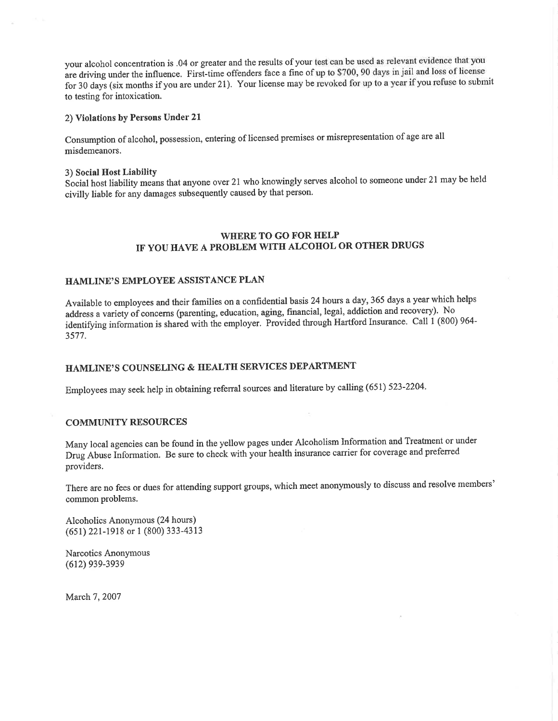your alcohol concentration is .04 or greater and the results of your test can be used as relevant evidence that you are driving under the influence. First-time offenders face a fine of up to \$700, 90 days in jail and loss of license for 30 days (six months if you are under 21). Your license may be revoked for up to a year if you refuse to submit to testing for intoxication.

### 2) Violations by Persons Under 21

Consumption of alcohol, possession, entering of licensed premises or misrepresentation of age are all misdemeanors.

### 3) Social Host Liability

Social host liability means that anyone over 21 who knowingly serves alcohol to someone under 21 may be held civilly liable for any damages subsequently caused by that person'

### WHERE TO GO FOR HELP IF YOU HAVE A PROBLEM WITH ALCOHOL OR OTHER DRUGS

### HAMLINE'S EMPLOYEE ASSISTANCE PLAN

Available to employees and their families on a confidential basis 24 hours a day, 365 days a year which helps address a variety of concerns (parenting, education, aging, financial, legal, addiction and recovery). No identifying information is shared with the employer. Provided through Hartford Insurance. Call 1 (800) 964-3577.

# HAMLINE'S COUNSELING & HEALTH SERVICES DEPARTMENT

Employees may seek help in obtaining referral sources and literature by calling (651) 523-2204.

### COMMUNITY RESOURCES

Many local agencies can be found in the yellow pages under Alcoholism Information and Treatment or under Druj Abuse Information. Be sure to check with your health insurance carrier for coverage and preferred providers.

There are no fees or dues for attending support groups, which meet anonymously to discuss and resolve members' common problems.

Alcoholics Anonymous (24 hours) (651) 221-1918 or 1 (800) 333-4313

Narcotics Anonymous (612) 939-3939

March 7, 2007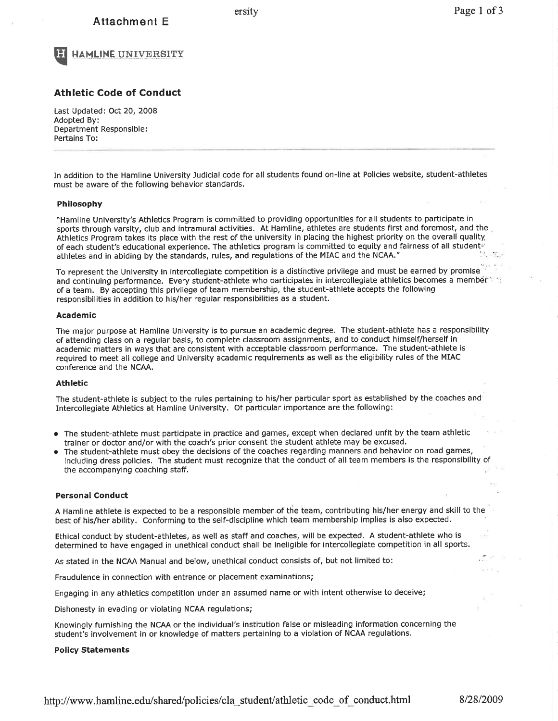# Attachment E





### Athletic Code of Conduct

Last Updated: Oct 20, 2008 Adopted By: Department Responsible : Pertains To:

In addition to the Hamline University Judicial code for all students found on-line at Policies website, student-athletes must be aware of the following behavior standards.

### Philosophy

"Hamline University's Athletics Program is committed to providing opportunities for all students to pafticipate in sports through varsity, club and intramural activities. At Hamline, athletes are students first and foremost, and the Athletics Program takes its place with the rest of the university in placing the highest priority on the overall quality. of each student's educational experience. The athletics program is committed to equity and fairness of all student-<br>athletes and in abiding by the standards, rules, and regulations of the MIAC and the NCAA." athletes and in abiding by the standards, rules, and regulations of the MIAC and the NCAA." '.

To represent the University in intercollegiate competition is a distinctive privilege and must be earned by promise and continuing performance. Every student-athlete who participates in intercollegiate athletics becomes a member of a team. By accepting this privilege of team membership, the student-athlete accepts the following responsibilities in addition to his/her regular responsibilities as a student.

#### Academic

The major purpose at Hamline University is to pursue an academic degree. The student-athlete has a responsibility of attending class on a regular basis, to complete classroom assignments, and to conduct himself/herself in academic matters in ways that are consistent with acceptable classroom performance. The student-athlete is required to meet all college and University academic requirements as well as the eligibility rules of the MIAC conference and the NCAA.

#### Athletic

The student-athlete is subject to the rules pertaining to his/her particular sport as established by the coaches and Intercollegiate Athletics at Hamline University. Of pafticular importance are the following:

- o The student-athlete must participate in practice and games, except when declared unfit by the team athletic trainer or doctor and/or with the coach's prior consent the student athlete may be excused.
- The student-athlete must obey the decisions of the coaches regarding manners and behavior on road games, including dress policies. The student must recognize that the conduct of all team members is the responsibility of the accompanying coaching staff.

### Personal Conduct

A Hamline athlete is expected to be a responsible member of the team, contributing his/her energy and skill to the best of his/her ability. Conforming to the self-discipline which team membership implies is also expected,

Ethical conduct by student-athletes, as well as staff and coaches, will be expected. A student-athlete who is determined to have engaged in unethical conduct shall be ineligible for intercollegiate competition in all spotts.

As stated in the NCAA Manual and below, unethical conduct consists of, but not limited to:

Fraudulence in connection with entrance or placement examinations;

Engaging in any athletics competition under an assumed name or with intent otherwise to deceive;

Dishonesty in evading or violating NCAA regulations;

Knowingly furnishing the NCAA or the individual's institution false or misleading information concerning the student's involvement in or knowledge of matters pertaining to a violation of NCAA regulatlons.

#### Policy Statements

http://www.hamline.edu/shared/policies/cla\_student/athletic\_code\_of\_conduct.html 8/28/2009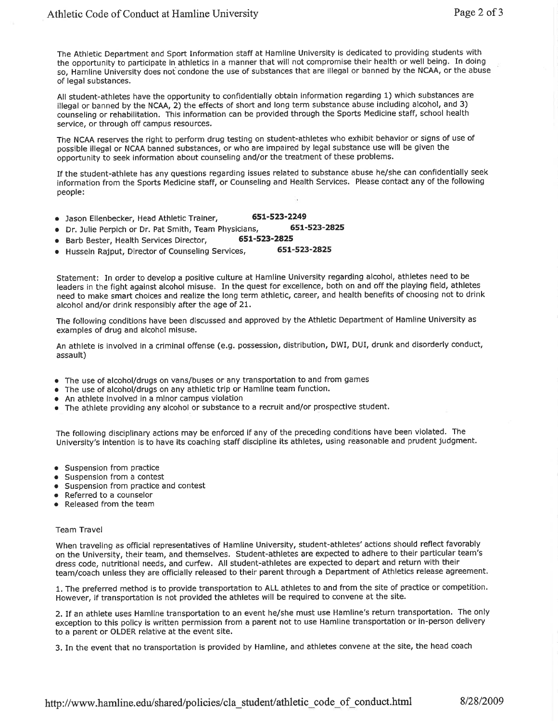The Athletic Department and Sport Information staff at Hamline University is dedicated to providing students with the opportunity to participate in athletics in a manner that will not compromise their health or well being, In doing so, Hamline University does not condone the use of substances that are illegal or banned by the NCAA, or the abuse of legal substances.

All student-athletes have the opportunity to confidentially obtain information regarding 1) which substances are illegal or banned by the NCAA, 2) the effects of short and long term substance aþuse including alcohol, and 3) counseling or rehabilitation. This information can be provided through the Sports Medicine staff, school health service, or through off campus resources.

The NCAA reserves the right to perform drug testing on student-athletes who exhibit behavior or signs of use of possible illegal or NCAA banned substances, or who are impaired by legal substance use will be given the opportunity to seek information about counseling and/or the treatment of these problems.

If the student-athlete has any questions regarding issues related to substance abuse he/she can confidentially seek information from the Sports Medicine staff, or Counseling and Health Services. Please contact any of the following people:

- **.** Jason Ellenbecker, Head Athletic Trainer, 651-523-2249<br>A. Dr. Julie Perpich or Dr. Pat Smith Team Physicians 651-523-2825
- 
- o Dr. lulie Perpich or Dr. Pat Smith, Team Physicians, 651'523-2825
- Barb Bester, Health Services Director, 651-523-2825<br>● Hussein Rainut, Director of Counseling Services, 651-523-2825 o Hussein Rajput, Director of Counseling Seruices, 651-523-2825

Statement: In order to develop a positive culture at Hamline University regarding alcohol, athletes need to be leaders in the fight against alcohol misuse. In the quest for excellence, both on and off the playing field, athletes need to make smart choices and realize the long term athletic, career, and health benefits of choosing not to drink alcohol and/or drink responsibly after the age of 21.

The following conditions have been discussed and approved by the Athletic Department of Hamline University as examples of drug and alcohol misuse.

An athlete is involved in a criminal offense (e.g. possession, distribution, DWI, DUI, drunk and disorderly conduct, assault)

- o The use of alcohol/drugs on vans/buses or any transportation to and from games
- The use of alcohol/drugs on any athletic trip or Hamline team function.
- An athlete involved in a minor campus violation
- The athlete providing any alcohol or substance to a recruit and/or prospective student.

The following disciplinary actions may be enforced if any of the preceding conditions have been violated. The University's intention is to have its coaching staff discipline its athletes, using reasonable and prudent judgment.

- **•** Suspension from practice
- **•** Suspension from a contest
- o Suspension from practice and contest
- Referred to a counselor
- o Released from the team

#### Team Travel

When traveling as official representatives of Hamline University, student-athletes' actions should reflect favorably on the University, their team, and themselves. Student-athletes are expected to adhere to their particular team's dress code, nutritional needs, and cufew. All student-athletes are expected to depart and return with their team/coach unless they are officially released to their parent through a Department of Athletics release agreement.

1. The preferred method is to provide transportation to ALL athletes to and from the site of practice or competition. However, if transportation is not provided the athletes will be required to convene at the site.

2. If an athlete uses Hamline transportation to an event he/she must use Hamline's return transportation. The only exception to this policy is written permission from a parent not to use Hamline transportation or in-person delivery to a parent or OLDER relative at the event site.

3. In the event that no transportation is provided by Hamline, and athletes convene at the site, the head coach

http://www.hamline.edu/shared/policies/cla\_student/athletic\_code\_of\_conduct.html 8/28/2009